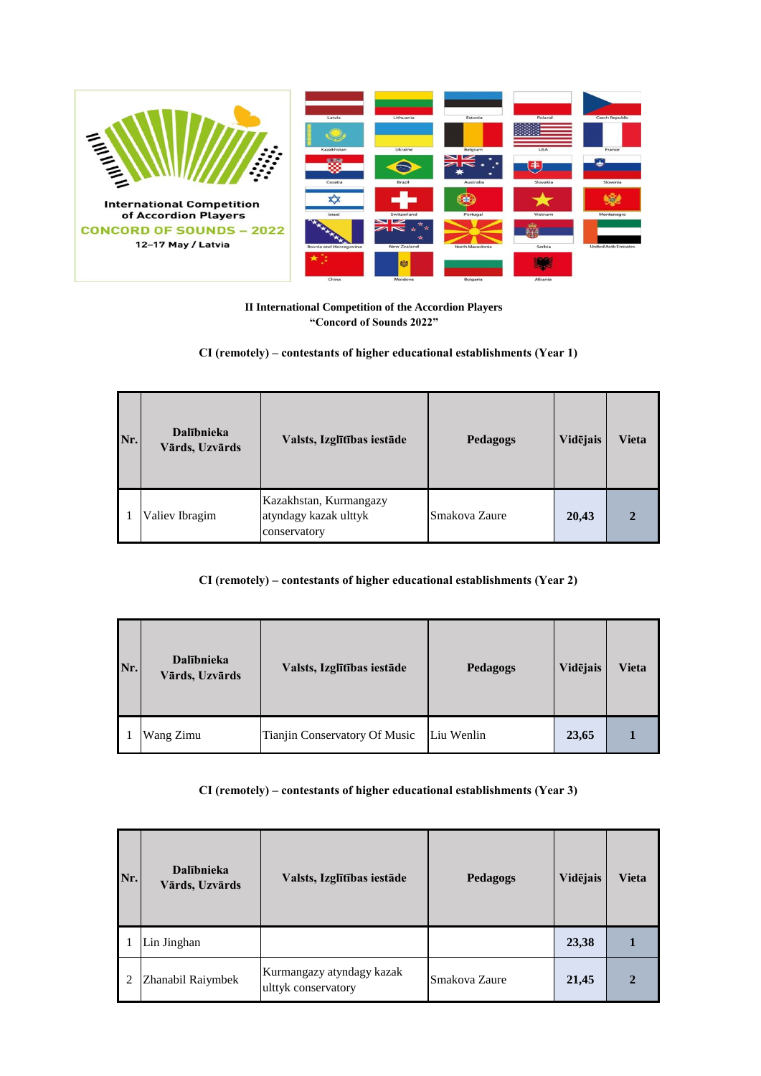

**II International Competition of the Accordion Players "Concord of Sounds 2022"**

**CI (remotely) – contestants of higher educational establishments (Year 1)**

| Nr. | <b>Dalībnieka</b><br>Vārds, Uzvārds | Valsts, Izglītības iestāde                                      | Pedagogs      | Vidējais | Vieta        |
|-----|-------------------------------------|-----------------------------------------------------------------|---------------|----------|--------------|
|     | Valiev Ibragim                      | Kazakhstan, Kurmangazy<br>atyndagy kazak ulttyk<br>conservatory | Smakova Zaure | 20,43    | $\mathbf{2}$ |

## **CI (remotely) – contestants of higher educational establishments (Year 2)**

| Nr. | <b>Dalībnieka</b><br>Vārds, Uzvārds | Valsts, Izglītības iestāde    | Pedagogs   | Vidējais | Vieta |
|-----|-------------------------------------|-------------------------------|------------|----------|-------|
|     | Wang Zimu                           | Tianjin Conservatory Of Music | Liu Wenlin | 23,65    |       |

**CI (remotely) – contestants of higher educational establishments (Year 3)**

| Nr. | <b>Dalībnieka</b><br>Vārds, Uzvārds | Valsts, Izglītības iestāde                       | Pedagogs      | Vidējais | Vieta        |
|-----|-------------------------------------|--------------------------------------------------|---------------|----------|--------------|
|     | Lin Jinghan                         |                                                  |               | 23,38    |              |
|     | Zhanabil Raiymbek                   | Kurmangazy atyndagy kazak<br>ulttyk conservatory | Smakova Zaure | 21,45    | $\mathbf{2}$ |